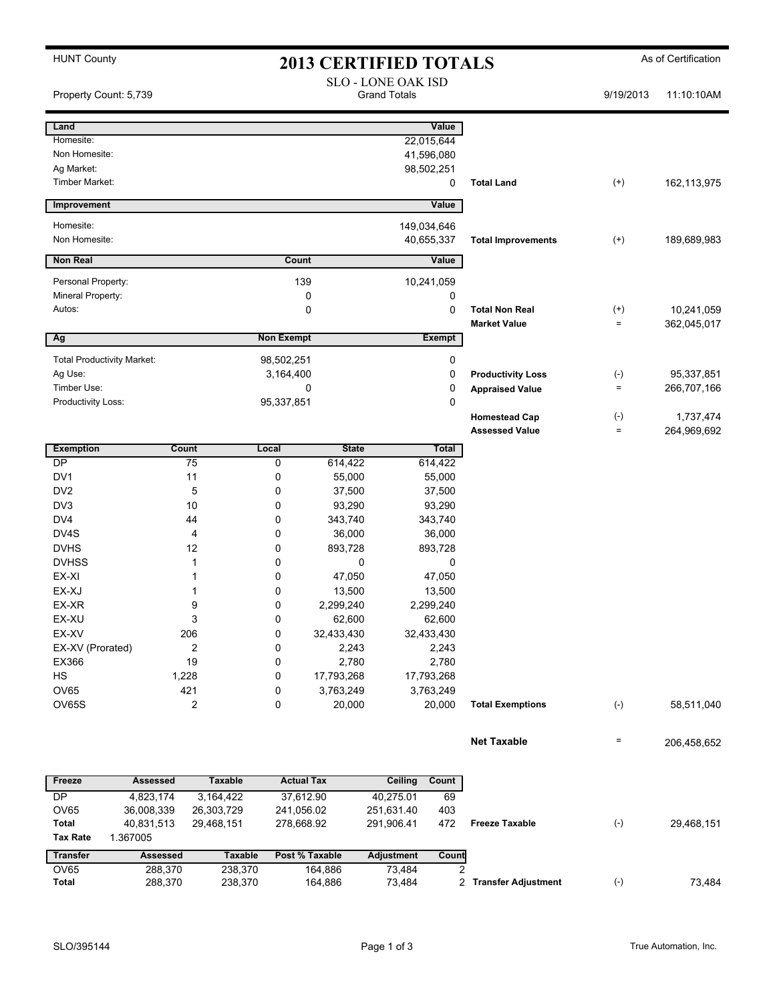| <b>HUNT County</b>                |                         |                             |                                                  |                   | <b>2013 CERTIFIED TOTALS</b> |                   |                           |                                 | As of Certification |  |
|-----------------------------------|-------------------------|-----------------------------|--------------------------------------------------|-------------------|------------------------------|-------------------|---------------------------|---------------------------------|---------------------|--|
| Property Count: 5,739             |                         |                             | <b>SLO - LONE OAK ISD</b><br><b>Grand Totals</b> |                   |                              |                   | 9/19/2013                 | 11:10:10AM                      |                     |  |
| Land                              |                         |                             |                                                  |                   |                              | Value             |                           |                                 |                     |  |
| Homesite:                         |                         |                             |                                                  |                   | 22,015,644                   |                   |                           |                                 |                     |  |
| Non Homesite:                     |                         |                             |                                                  |                   | 41,596,080                   |                   |                           |                                 |                     |  |
| Ag Market:                        |                         |                             |                                                  |                   | 98,502,251                   |                   |                           |                                 |                     |  |
| Timber Market:                    |                         |                             |                                                  |                   |                              | 0                 | <b>Total Land</b>         | $^{(+)}$                        | 162,113,975         |  |
| Improvement                       |                         |                             |                                                  |                   |                              | Value             |                           |                                 |                     |  |
| Homesite:                         |                         |                             |                                                  |                   | 149,034,646                  |                   |                           |                                 |                     |  |
| Non Homesite:                     |                         |                             |                                                  |                   | 40,655,337                   |                   | <b>Total Improvements</b> | $^{(+)}$                        | 189,689,983         |  |
| <b>Non Real</b>                   |                         |                             | Count<br>Value                                   |                   |                              |                   |                           |                                 |                     |  |
| Personal Property:                |                         |                             | 139                                              |                   | 10,241,059                   |                   |                           |                                 |                     |  |
|                                   | Mineral Property:       |                             |                                                  | 0                 | 0                            |                   |                           |                                 |                     |  |
| Autos:                            |                         |                             | $\mathbf 0$                                      |                   | 0                            |                   | <b>Total Non Real</b>     | $^{(+)}$                        | 10,241,059          |  |
|                                   |                         |                             | <b>Non Exempt</b><br><b>Exempt</b>               |                   |                              |                   | <b>Market Value</b>       | $=$                             | 362,045,017         |  |
| Ag                                |                         |                             |                                                  |                   |                              |                   |                           |                                 |                     |  |
| <b>Total Productivity Market:</b> |                         |                             | 98,502,251                                       |                   |                              | 0                 |                           |                                 |                     |  |
| Ag Use:                           |                         |                             | 3,164,400                                        |                   |                              | 0<br>0            | <b>Productivity Loss</b>  | $(\text{-})$<br>$\quad \  \  =$ | 95,337,851          |  |
| Timber Use:<br>Productivity Loss: |                         |                             | $\mathbf 0$<br>95,337,851                        |                   |                              | 0                 | <b>Appraised Value</b>    |                                 | 266,707,166         |  |
|                                   |                         |                             |                                                  |                   |                              |                   | <b>Homestead Cap</b>      | $(\text{-})$                    | 1,737,474           |  |
|                                   |                         |                             |                                                  |                   |                              |                   | <b>Assessed Value</b>     | $\qquad \qquad =$               | 264,969,692         |  |
| <b>Exemption</b>                  |                         | Count                       | Local                                            | <b>State</b>      |                              | Total             |                           |                                 |                     |  |
| DP                                |                         | 75                          | 0                                                | 614,422           |                              | 614,422           |                           |                                 |                     |  |
| DV <sub>1</sub>                   |                         | 11                          | 0                                                | 55,000            |                              | 55,000            |                           |                                 |                     |  |
| DV <sub>2</sub><br>DV3            |                         | 5<br>10                     | 0                                                | 37,500            |                              | 37,500            |                           |                                 |                     |  |
| DV4                               |                         | 44                          | 0<br>0                                           | 93,290<br>343,740 |                              | 93,290<br>343,740 |                           |                                 |                     |  |
| DV4S                              |                         | 4                           | 0                                                | 36,000            |                              | 36,000            |                           |                                 |                     |  |
| <b>DVHS</b>                       |                         | 12                          | 0                                                | 893,728           |                              | 893,728           |                           |                                 |                     |  |
| <b>DVHSS</b>                      |                         | 1                           | 0                                                | 0                 |                              | 0                 |                           |                                 |                     |  |
| EX-XI                             |                         |                             | 0                                                | 47,050            |                              | 47,050            |                           |                                 |                     |  |
| EX-XJ                             |                         |                             | 0                                                | 13,500            |                              | 13,500            |                           |                                 |                     |  |
| EX-XR                             |                         | 9                           | 0                                                | 2,299,240         |                              | 2,299,240         |                           |                                 |                     |  |
| EX-XU                             |                         | 3                           | 0                                                | 62,600            |                              | 62,600            |                           |                                 |                     |  |
| EX-XV                             |                         | 206                         | 0                                                | 32,433,430        | 32,433,430                   |                   |                           |                                 |                     |  |
| EX-XV (Prorated)                  |                         | 2                           | 0                                                | 2,243             |                              | 2,243             |                           |                                 |                     |  |
| EX366                             |                         | 19                          | 0                                                | 2,780             |                              | 2,780             |                           |                                 |                     |  |
| HS                                |                         | 1,228                       | 0                                                | 17,793,268        | 17,793,268                   |                   |                           |                                 |                     |  |
| OV65                              |                         | 421                         | 0                                                | 3,763,249         |                              | 3,763,249         |                           |                                 |                     |  |
| OV65S                             |                         | 2                           | 0                                                | 20,000            |                              | 20,000            | <b>Total Exemptions</b>   | $(-)$                           | 58,511,040          |  |
|                                   |                         |                             |                                                  |                   |                              |                   | <b>Net Taxable</b>        | $\equiv$                        | 206,458,652         |  |
| <b>Actual Tax</b>                 |                         |                             |                                                  |                   |                              |                   |                           |                                 |                     |  |
| Freeze<br>DP                      | <b>Assessed</b>         | <b>Taxable</b><br>3,164,422 |                                                  |                   | <b>Ceiling</b>               | Count             |                           |                                 |                     |  |
| <b>OV65</b>                       | 4,823,174<br>36,008,339 | 26,303,729                  | 37,612.90<br>241,056.02                          |                   | 40,275.01<br>251,631.40      | 69<br>403         |                           |                                 |                     |  |
| Total                             | 40,831,513              | 29,468,151                  | 278,668.92                                       |                   | 291,906.41                   | 472               | <b>Freeze Taxable</b>     | $(\text{-})$                    | 29,468,151          |  |
| <b>Tax Rate</b>                   | 1.367005                |                             |                                                  |                   |                              |                   |                           |                                 |                     |  |
| <b>Transfer</b>                   | <b>Assessed</b>         | <b>Taxable</b>              |                                                  | Post % Taxable    | <b>Adjustment</b>            | Count             |                           |                                 |                     |  |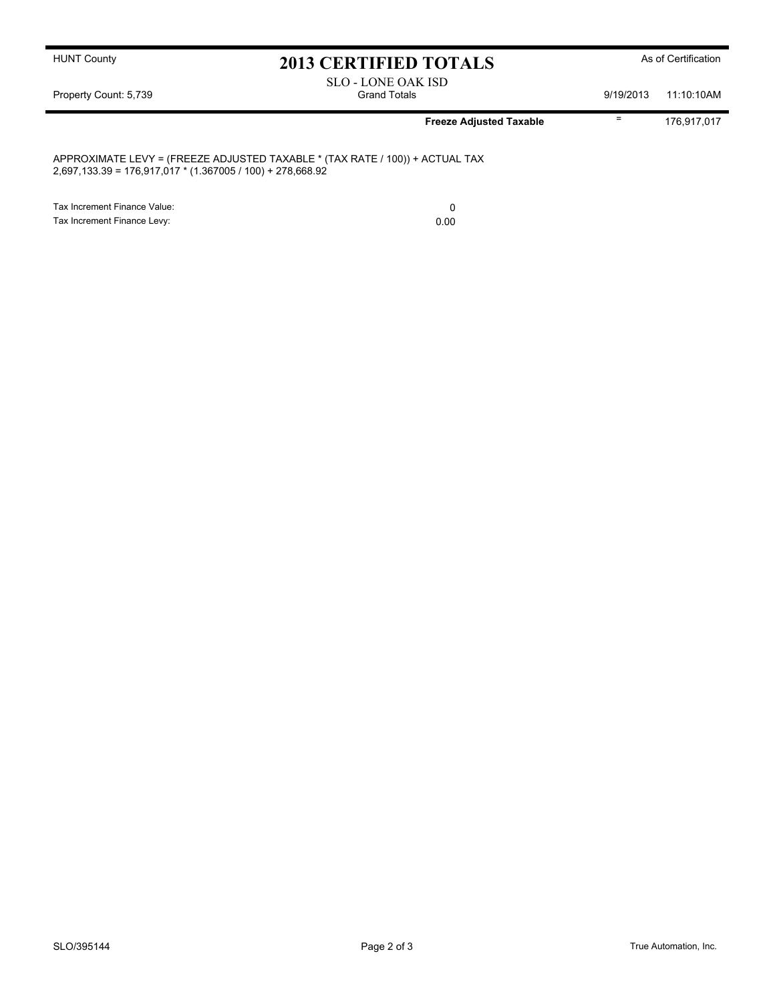## HUNT County **As of Certification 2013 CERTIFIED TOTALS** As of Certification

SLO - LONE OAK ISD Property Count: 5,739 **Strand Totals** Grand Totals 6 and Totals 9/19/2013 11:10:10AM

**Freeze Adjusted Taxable**  $\overline{ }$  176,917,017

APPROXIMATE LEVY = (FREEZE ADJUSTED TAXABLE \* (TAX RATE / 100)) + ACTUAL TAX 2,697,133.39 = 176,917,017 \* (1.367005 / 100) + 278,668.92

Tax Increment Finance Value: 0 Tax Increment Finance Levy: 0.00